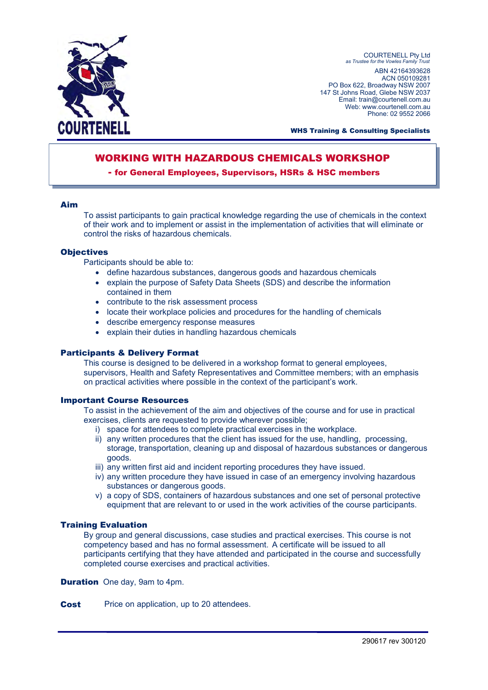

COURTENELL Pty Ltd *as Trustee for the Vowles Family Trust*  ABN 42164393628 ACN 050109281 PO Box 622, Broadway NSW 2007 147 St Johns Road, Glebe NSW 2037 Email: train@courtenell.com.au Web: www.courtenell.com.au Phone: 02 9552 2066

WHS Training & Consulting Specialists

# WORKING WITH HAZARDOUS CHEMICALS WORKSHOP

#### - for General Employees, Supervisors, HSRs & HSC members

#### Aim

To assist participants to gain practical knowledge regarding the use of chemicals in the context of their work and to implement or assist in the implementation of activities that will eliminate or control the risks of hazardous chemicals.

#### **Objectives**

Participants should be able to:

- define hazardous substances, dangerous goods and hazardous chemicals
- explain the purpose of Safety Data Sheets (SDS) and describe the information contained in them
- contribute to the risk assessment process
- locate their workplace policies and procedures for the handling of chemicals
- describe emergency response measures
- explain their duties in handling hazardous chemicals

#### Participants & Delivery Format

This course is designed to be delivered in a workshop format to general employees, supervisors, Health and Safety Representatives and Committee members; with an emphasis on practical activities where possible in the context of the participant's work.

#### Important Course Resources

To assist in the achievement of the aim and objectives of the course and for use in practical exercises, clients are requested to provide wherever possible;

- i) space for attendees to complete practical exercises in the workplace.
- ii) any written procedures that the client has issued for the use, handling, processing, storage, transportation, cleaning up and disposal of hazardous substances or dangerous goods.
- iii) any written first aid and incident reporting procedures they have issued.
- iv) any written procedure they have issued in case of an emergency involving hazardous substances or dangerous goods.
- v) a copy of SDS, containers of hazardous substances and one set of personal protective equipment that are relevant to or used in the work activities of the course participants.

### Training Evaluation

By group and general discussions, case studies and practical exercises. This course is not competency based and has no formal assessment. A certificate will be issued to all participants certifying that they have attended and participated in the course and successfully completed course exercises and practical activities.

**Duration** One day, 9am to 4pm.

**Cost** Price on application, up to 20 attendees.